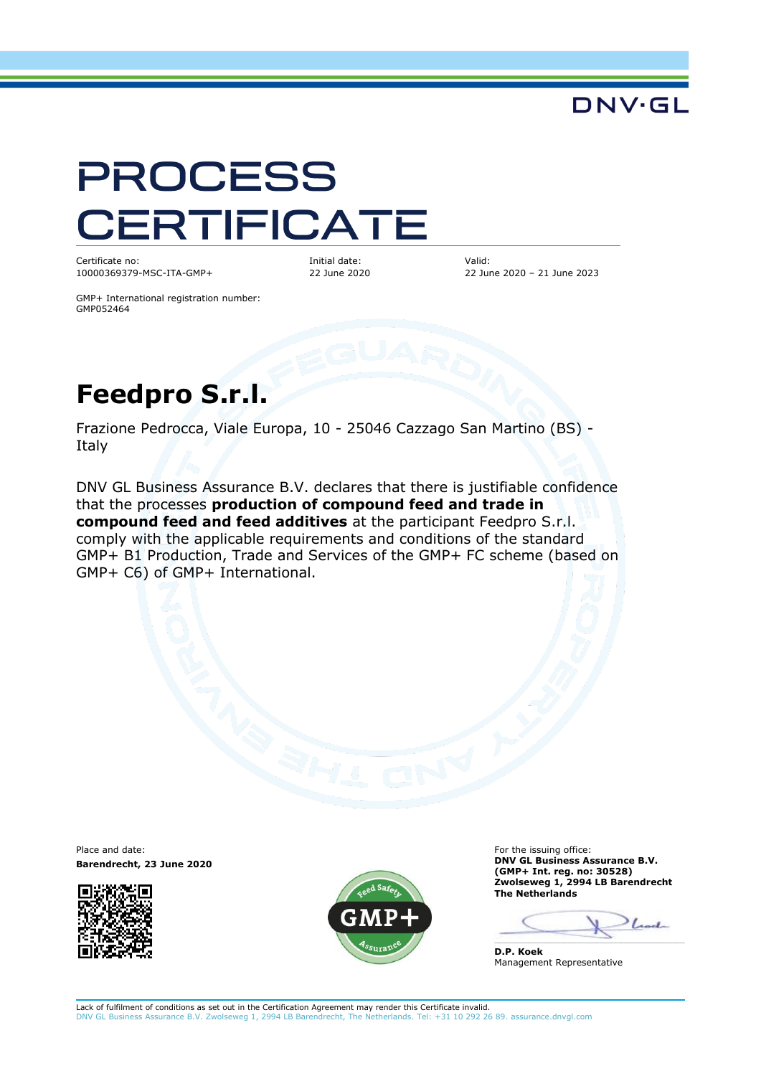## DNV·GL

# **PROCESS** CERTIFICATE

Certificate no: 10000369379-MSC-ITA-GMP+ Initial date: 22 June 2020 Valid: 22 June 2020 – 21 June 2023

GMP+ International registration number: GMP052464

# **Feedpro S.r.l.**

Frazione Pedrocca, Viale Europa, 10 - 25046 Cazzago San Martino (BS) - Italy

DNV GL Business Assurance B.V. declares that there is justifiable confidence that the processes **production of compound feed and trade in compound feed and feed additives** at the participant Feedpro S.r.l. comply with the applicable requirements and conditions of the standard GMP+ B1 Production, Trade and Services of the GMP+ FC scheme (based on GMP+ C6) of GMP+ International.

Place and date: **Barendrecht, 23 June 2020**





For the issuing office: **DNV GL Business Assurance B.V. (GMP+ Int. reg. no: 30528) Zwolseweg 1, 2994 LB Barendrecht The Netherlands**

 $\int_{\mathbb{R}}$ 

**D.P. Koek** Management Representative

Lack of fulfilment of conditions as set out in the Certification Agreement may render this Certificate invalid. DNV GL Business Assurance B.V. Zwolseweg 1, 2994 LB Barendrecht, The Netherlands. Tel: +31 10 292 26 89. assurance.dnvgl.com